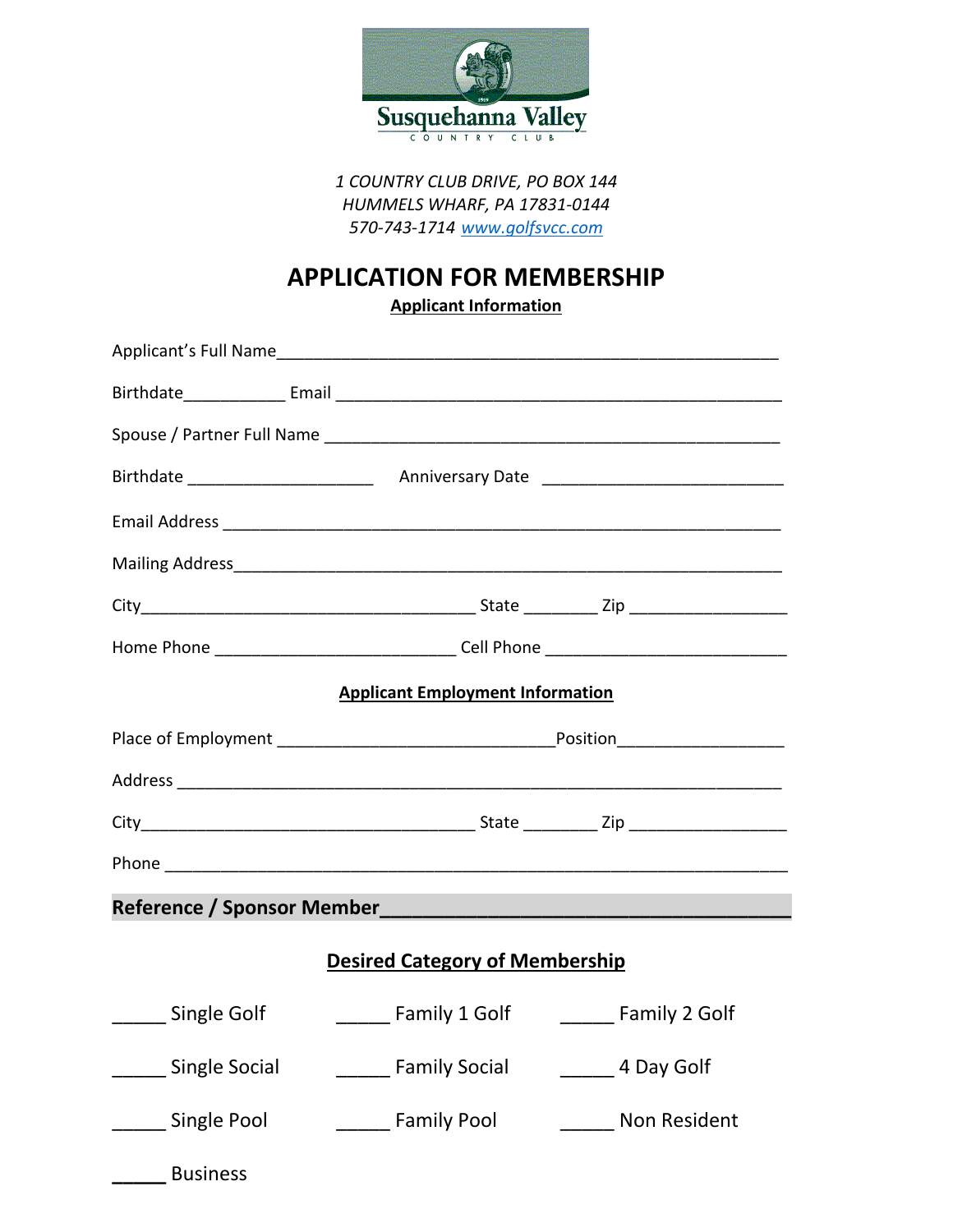

*1 COUNTRY CLUB DRIVE, PO BOX 144 HUMMELS WHARF, PA 17831-0144 570-743-1714 [www.golfsvcc.com](http://www.golfsvcc.com/)*

## **APPLICATION FOR MEMBERSHIP**

**Applicant Information**

|                                       | Applicant's Full Name Manual Communication of the Communication of the Communication of the Communication of the Communication of the Communication of the Communication of the Communication of the Communication of the Comm |                     |  |  |
|---------------------------------------|--------------------------------------------------------------------------------------------------------------------------------------------------------------------------------------------------------------------------------|---------------------|--|--|
|                                       |                                                                                                                                                                                                                                |                     |  |  |
|                                       |                                                                                                                                                                                                                                |                     |  |  |
|                                       |                                                                                                                                                                                                                                |                     |  |  |
|                                       |                                                                                                                                                                                                                                |                     |  |  |
|                                       |                                                                                                                                                                                                                                |                     |  |  |
|                                       |                                                                                                                                                                                                                                |                     |  |  |
|                                       | Home Phone __________________________________Cell Phone ________________________                                                                                                                                               |                     |  |  |
|                                       | <b>Applicant Employment Information</b>                                                                                                                                                                                        |                     |  |  |
|                                       |                                                                                                                                                                                                                                |                     |  |  |
|                                       |                                                                                                                                                                                                                                |                     |  |  |
|                                       |                                                                                                                                                                                                                                |                     |  |  |
|                                       |                                                                                                                                                                                                                                |                     |  |  |
|                                       |                                                                                                                                                                                                                                |                     |  |  |
| <b>Desired Category of Membership</b> |                                                                                                                                                                                                                                |                     |  |  |
| ______ Single Golf                    | <b>Example 1 Golf</b> Eamily 2 Golf                                                                                                                                                                                            |                     |  |  |
| <b>Single Social</b>                  | <b>Example 1 Family Social</b>                                                                                                                                                                                                 | 4 Day Golf          |  |  |
| <b>Single Pool</b>                    | <b>Example 1</b> Family Pool                                                                                                                                                                                                   | <b>Non Resident</b> |  |  |
| <b>Business</b>                       |                                                                                                                                                                                                                                |                     |  |  |